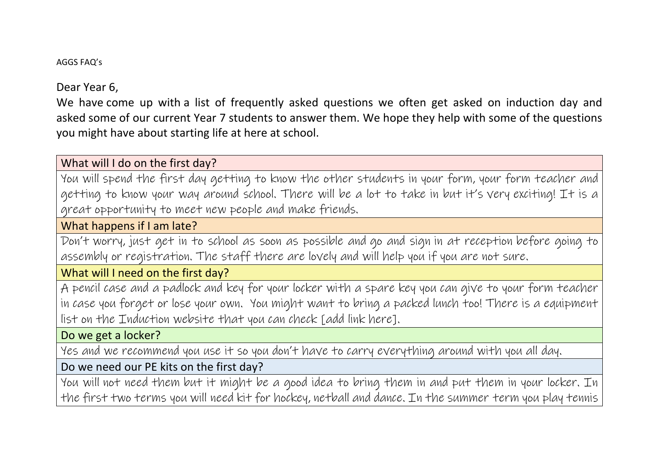#### AGGS FAQ's

Dear Year 6,

We have come up with a list of frequently asked questions we often get asked on induction day and asked some of our current Year 7 students to answer them. We hope they help with some of the questions you might have about starting life at here at school.

What will I do on the first day?

You will spend the first day getting to know the other students in your form, your form teacher and getting to know your way around school. There will be a lot to take in but it's very exciting! It is a great opportunity to meet new people and make friends.

What happens if I am late?

Don't worry, just get in to school as soon as possible and go and sign in at reception before going to assembly or registration. The staff there are lovely and will help you if you are not sure.

What will I need on the first day?

A pencil case and a padlock and key for your locker with a spare key you can give to your form teacher in case you forget or lose your own. You might want to bring a packed lunch too! There is a equipment list on the Induction website that you can check [add link here].

Do we get a locker?

Yes and we recommend you use it so you don't have to carry everything around with you all day.

Do we need our PE kits on the first day?

You will not need them but it might be a good idea to bring them in and put them in your locker. In the first two terms you will need kit for hockey, netball and dance. In the summer term you play tennis